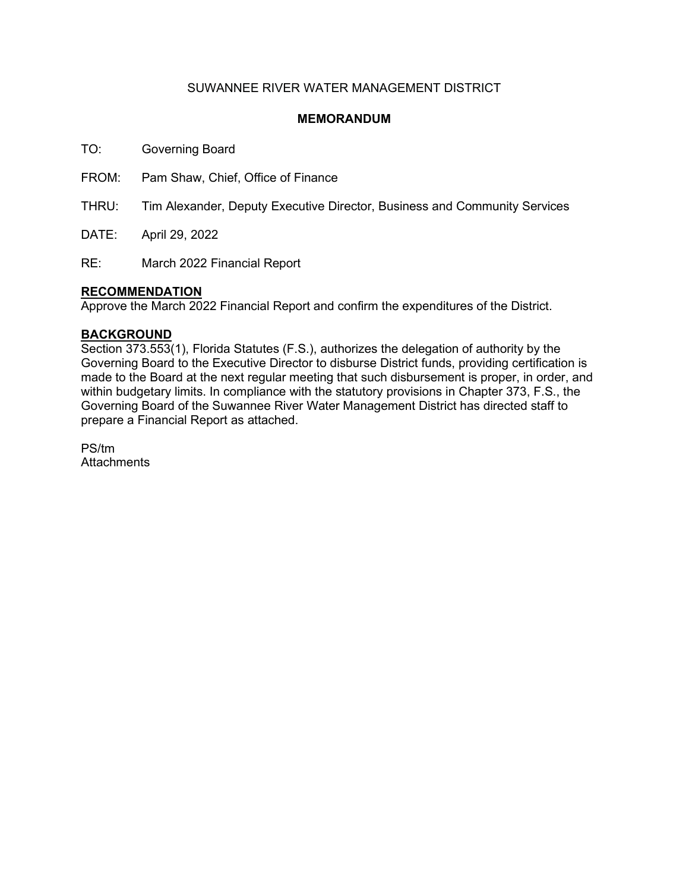## SUWANNEE RIVER WATER MANAGEMENT DISTRICT

### **MEMORANDUM**

TO: Governing Board

FROM: Pam Shaw, Chief, Office of Finance

THRU: Tim Alexander, Deputy Executive Director, Business and Community Services

DATE: April 29, 2022

RE: March 2022 Financial Report

### **RECOMMENDATION**

Approve the March 2022 Financial Report and confirm the expenditures of the District.

#### **BACKGROUND**

Section 373.553(1), Florida Statutes (F.S.), authorizes the delegation of authority by the Governing Board to the Executive Director to disburse District funds, providing certification is made to the Board at the next regular meeting that such disbursement is proper, in order, and within budgetary limits. In compliance with the statutory provisions in Chapter 373, F.S., the Governing Board of the Suwannee River Water Management District has directed staff to prepare a Financial Report as attached.

PS/tm **Attachments**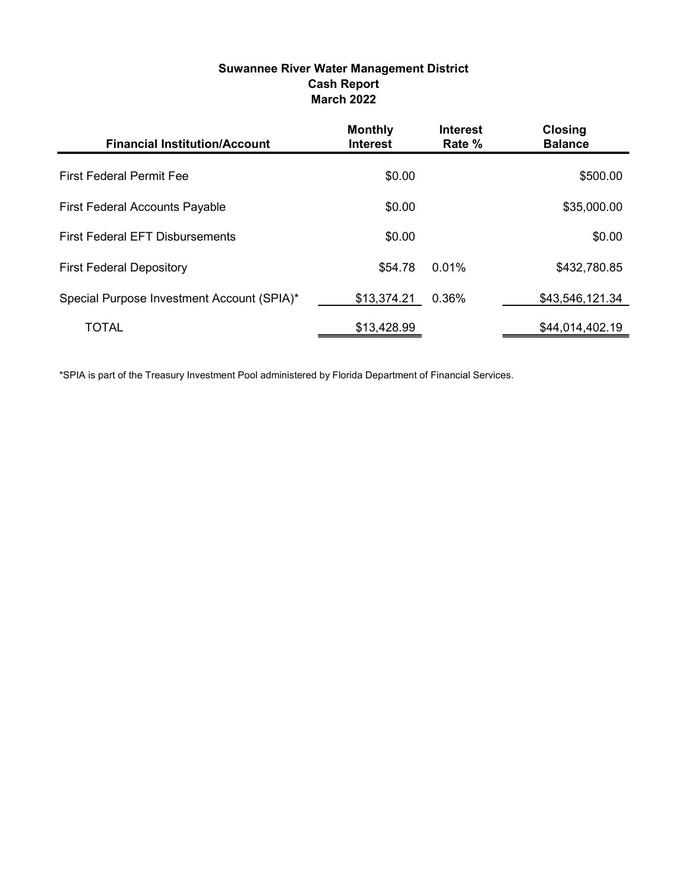## Suwannee River Water Management District Cash Report March 2022

| <b>Financial Institution/Account</b>       | <b>Monthly</b><br><b>Interest</b> | <b>Interest</b><br>Rate % | <b>Closing</b><br><b>Balance</b> |
|--------------------------------------------|-----------------------------------|---------------------------|----------------------------------|
| <b>First Federal Permit Fee</b>            | \$0.00                            |                           | \$500.00                         |
| <b>First Federal Accounts Payable</b>      | \$0.00                            |                           | \$35,000.00                      |
| <b>First Federal EFT Disbursements</b>     | \$0.00                            |                           | \$0.00                           |
| <b>First Federal Depository</b>            | \$54.78                           | $0.01\%$                  | \$432,780.85                     |
| Special Purpose Investment Account (SPIA)* | \$13,374.21                       | 0.36%                     | \$43,546,121.34                  |
| <b>TOTAL</b>                               | \$13,428.99                       |                           | \$44,014,402.19                  |

\*SPIA is part of the Treasury Investment Pool administered by Florida Department of Financial Services.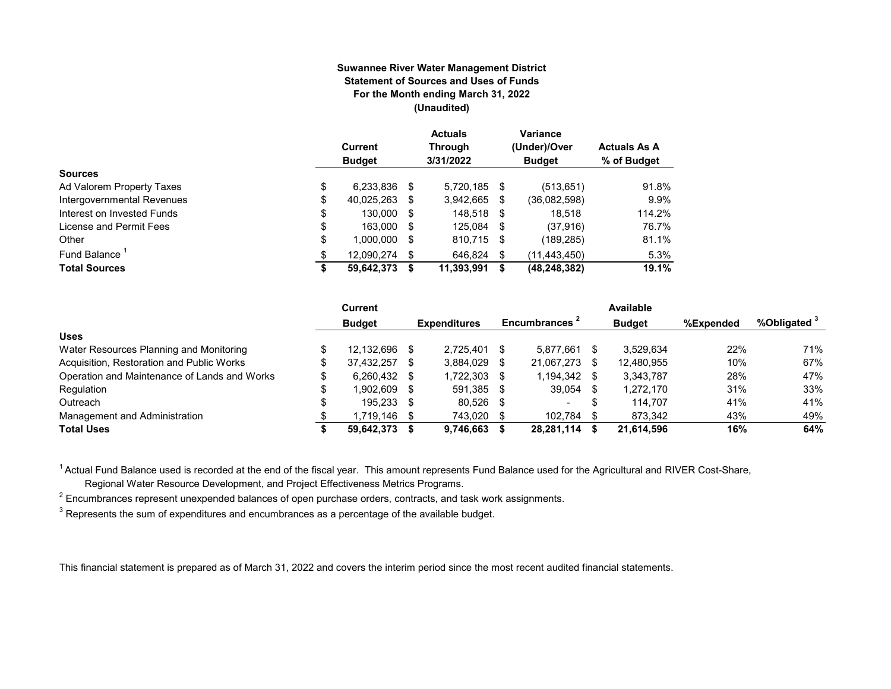#### **Suwannee River Water Management District Statement of Sources and Uses of Funds For the Month ending March 31, 2022 (Unaudited)**

|                            | Current<br><b>Budget</b> |      | <b>Actuals</b><br><b>Through</b><br>3/31/2022 |      | Variance<br>(Under)/Over<br><b>Budget</b> | <b>Actuals As A</b><br>% of Budget |
|----------------------------|--------------------------|------|-----------------------------------------------|------|-------------------------------------------|------------------------------------|
| <b>Sources</b>             |                          |      |                                               |      |                                           |                                    |
| Ad Valorem Property Taxes  | \$<br>6,233,836          | S    | 5.720.185 \$                                  |      | (513, 651)                                | 91.8%                              |
| Intergovernmental Revenues | \$<br>40.025.263         | S    | 3.942.665                                     | S    | (36.082.598)                              | 9.9%                               |
| Interest on Invested Funds | \$<br>130.000            | - \$ | 148.518 \$                                    |      | 18.518                                    | 114.2%                             |
| License and Permit Fees    | \$<br>163,000            | S    | 125,084                                       | - \$ | (37, 916)                                 | 76.7%                              |
| Other                      | \$<br>1,000,000          | S    | 810,715                                       | - \$ | (189, 285)                                | 81.1%                              |
| Fund Balance               | \$<br>12.090.274         | S    | 646.824                                       | \$   | (11, 443, 450)                            | 5.3%                               |
| <b>Total Sources</b>       | \$<br>59,642,373         |      | 11,393,991                                    | S    | (48, 248, 382)                            | 19.1%                              |

|                                              | <b>Current</b> |      |                     |      |                |    | Available     |           |                         |
|----------------------------------------------|----------------|------|---------------------|------|----------------|----|---------------|-----------|-------------------------|
|                                              | <b>Budget</b>  |      | <b>Expenditures</b> |      | Encumbrances 1 |    | <b>Budget</b> | %Expended | %Obligated <sup>3</sup> |
| <b>Uses</b>                                  |                |      |                     |      |                |    |               |           |                         |
| Water Resources Planning and Monitoring      | 12.132.696     | - \$ | 2.725.401           |      | 5.877.661      |    | 3.529.634     | 22%       | 71%                     |
| Acquisition, Restoration and Public Works    | 37.432.257     | -S   | 3.884.029           |      | 21.067.273     | S  | 12.480.955    | 10%       | 67%                     |
| Operation and Maintenance of Lands and Works | 6,260,432 \$   |      | 1,722,303           |      | 1,194,342      | -S | 3,343,787     | 28%       | 47%                     |
| Regulation                                   | 1.902.609      | - \$ | 591,385             | - \$ | 39.054         |    | 1.272.170     | 31%       | 33%                     |
| Outreach                                     | 195.233 \$     |      | 80.526              | - 35 | $\sim$         | \$ | 114.707       | 41%       | 41%                     |
| Management and Administration                | 1.719.146      | - \$ | 743.020             |      | 102.784        |    | 873.342       | 43%       | 49%                     |
| <b>Total Uses</b>                            | 59,642,373     |      | 9,746,663           |      | 28,281,114     |    | 21,614,596    | 16%       | 64%                     |

<sup>1</sup> Actual Fund Balance used is recorded at the end of the fiscal year. This amount represents Fund Balance used for the Agricultural and RIVER Cost-Share,

Regional Water Resource Development, and Project Effectiveness Metrics Programs.

 $^{\rm 2}$  Encumbrances represent unexpended balances of open purchase orders, contracts, and task work assignments.

 $^3$  Represents the sum of expenditures and encumbrances as a percentage of the available budget.

This financial statement is prepared as of March 31, 2022 and covers the interim period since the most recent audited financial statements.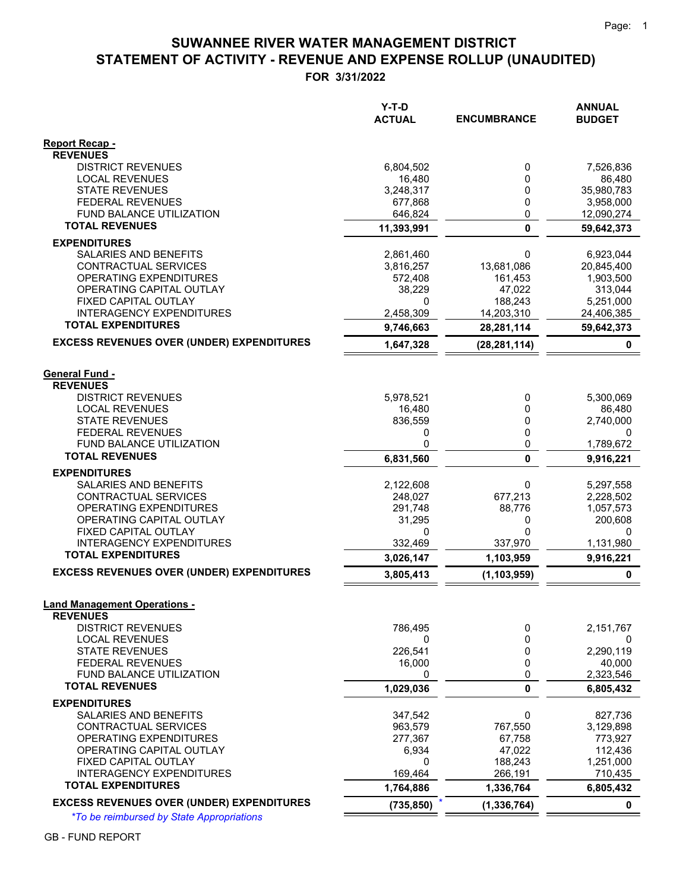# **STATEMENT OF ACTIVITY - REVENUE AND EXPENSE ROLLUP (UNAUDITED) SUWANNEE RIVER WATER MANAGEMENT DISTRICT**

**FOR 3/31/2022**

|                                                         | Y-T-D<br><b>ACTUAL</b> | <b>ENCUMBRANCE</b>    | <b>ANNUAL</b><br><b>BUDGET</b> |
|---------------------------------------------------------|------------------------|-----------------------|--------------------------------|
| Report Recap -                                          |                        |                       |                                |
| <b>REVENUES</b>                                         |                        |                       |                                |
| <b>DISTRICT REVENUES</b>                                | 6,804,502              | 0                     | 7,526,836                      |
| <b>LOCAL REVENUES</b><br><b>STATE REVENUES</b>          | 16,480<br>3,248,317    | 0<br>0                | 86,480<br>35,980,783           |
| <b>FEDERAL REVENUES</b>                                 | 677,868                | 0                     | 3,958,000                      |
| <b>FUND BALANCE UTILIZATION</b>                         | 646,824                | 0                     | 12,090,274                     |
| <b>TOTAL REVENUES</b>                                   | 11,393,991             | 0                     | 59,642,373                     |
| <b>EXPENDITURES</b>                                     |                        |                       |                                |
| SALARIES AND BENEFITS                                   | 2,861,460              | 0                     | 6,923,044                      |
| CONTRACTUAL SERVICES                                    | 3,816,257              | 13,681,086            | 20,845,400                     |
| OPERATING EXPENDITURES                                  | 572,408                | 161,453               | 1,903,500                      |
| OPERATING CAPITAL OUTLAY                                | 38,229                 | 47,022                | 313,044                        |
| FIXED CAPITAL OUTLAY<br><b>INTERAGENCY EXPENDITURES</b> | 0<br>2,458,309         | 188,243<br>14,203,310 | 5,251,000<br>24,406,385        |
| <b>TOTAL EXPENDITURES</b>                               | 9,746,663              | 28,281,114            | 59,642,373                     |
| <b>EXCESS REVENUES OVER (UNDER) EXPENDITURES</b>        | 1,647,328              | (28, 281, 114)        | 0                              |
|                                                         |                        |                       |                                |
| <b>General Fund -</b>                                   |                        |                       |                                |
| <b>REVENUES</b>                                         |                        |                       |                                |
| <b>DISTRICT REVENUES</b>                                | 5,978,521              | 0                     | 5,300,069                      |
| <b>LOCAL REVENUES</b>                                   | 16,480                 | 0                     | 86,480                         |
| <b>STATE REVENUES</b><br><b>FEDERAL REVENUES</b>        | 836,559<br>0           | 0<br>0                | 2,740,000<br>0                 |
| FUND BALANCE UTILIZATION                                | 0                      | 0                     | 1,789,672                      |
| <b>TOTAL REVENUES</b>                                   | 6,831,560              | $\mathbf{0}$          | 9,916,221                      |
| <b>EXPENDITURES</b>                                     |                        |                       |                                |
| SALARIES AND BENEFITS                                   | 2,122,608              | 0                     | 5,297,558                      |
| CONTRACTUAL SERVICES                                    | 248,027                | 677,213               | 2,228,502                      |
| OPERATING EXPENDITURES                                  | 291,748                | 88,776                | 1,057,573                      |
| OPERATING CAPITAL OUTLAY<br>FIXED CAPITAL OUTLAY        | 31,295<br>0            | 0<br>0                | 200,608<br>0                   |
| <b>INTERAGENCY EXPENDITURES</b>                         | 332,469                | 337,970               | 1,131,980                      |
| <b>TOTAL EXPENDITURES</b>                               | 3,026,147              | 1,103,959             | 9,916,221                      |
| <b>EXCESS REVENUES OVER (UNDER) EXPENDITURES</b>        | 3,805,413              | (1, 103, 959)         | $\mathbf 0$                    |
|                                                         |                        |                       |                                |
| <b>Land Management Operations -</b>                     |                        |                       |                                |
| <b>REVENUES</b><br><b>DISTRICT REVENUES</b>             | 786,495                | 0                     | 2,151,767                      |
| <b>LOCAL REVENUES</b>                                   | 0                      | 0                     | 0                              |
| <b>STATE REVENUES</b>                                   | 226,541                | 0                     | 2,290,119                      |
| <b>FEDERAL REVENUES</b>                                 | 16,000                 | 0                     | 40,000                         |
| FUND BALANCE UTILIZATION                                | 0                      | 0                     | 2,323,546                      |
| <b>TOTAL REVENUES</b>                                   | 1,029,036              | 0                     | 6,805,432                      |
| <b>EXPENDITURES</b>                                     |                        |                       |                                |
| <b>SALARIES AND BENEFITS</b>                            | 347,542                | 0                     | 827,736                        |
| CONTRACTUAL SERVICES                                    | 963,579                | 767,550               | 3,129,898                      |
| OPERATING EXPENDITURES<br>OPERATING CAPITAL OUTLAY      | 277,367<br>6,934       | 67,758<br>47,022      | 773,927<br>112,436             |
| FIXED CAPITAL OUTLAY                                    | 0                      | 188,243               | 1,251,000                      |
| <b>INTERAGENCY EXPENDITURES</b>                         | 169,464                | 266,191               | 710,435                        |
| <b>TOTAL EXPENDITURES</b>                               | 1,764,886              | 1,336,764             | 6,805,432                      |
| <b>EXCESS REVENUES OVER (UNDER) EXPENDITURES</b>        | (735, 850)             | (1, 336, 764)         | $\mathbf 0$                    |

*\*To be reimbursed by State Appropriations*